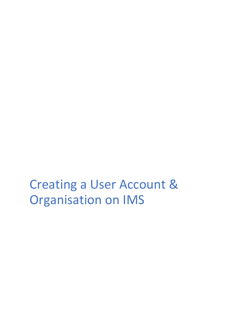Creating a User Account & Organisation on IMS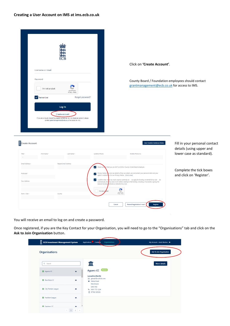

You will receive an email to log on and create a password.

Once registered, if you are the Key Contact for your Organisation, you will need to go to the "Organisations" tab and click on the **Ask to Join Organisation** button.

| 業<br>ECB Investment Management System                                                              | Organisations<br>Applications Contains                    | My Account - Lindz Norton <sup>6</sup> |
|----------------------------------------------------------------------------------------------------|-----------------------------------------------------------|----------------------------------------|
|                                                                                                    |                                                           | <b>Ask To Join Organisation</b>        |
|                                                                                                    | 皿                                                         | <b>More details</b>                    |
| $\circledast$                                                                                      | Aguero CC Member                                          |                                        |
| $\bullet$                                                                                          | ₪ glamjh@outlook.com<br><b>#</b> Maine Road<br>Manchester |                                        |
| $\bullet$                                                                                          | <b>M45 7AD</b><br>€ 0161 773 1234<br>07766 420336         |                                        |
| $\circ$                                                                                            |                                                           |                                        |
| $\leftarrow \quad \leftarrow \quad \leftarrow \quad \leftarrow \quad \leftarrow \quad \rightarrow$ |                                                           |                                        |
|                                                                                                    |                                                           | <b>Lancashire [North]</b>              |